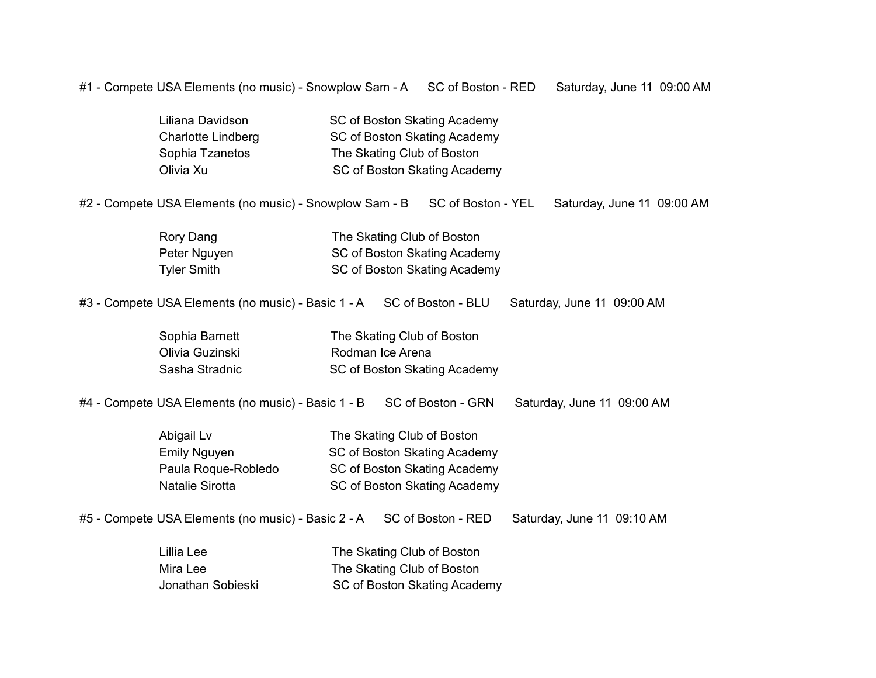#1 - Compete USA Elements (no music) - Snowplow Sam - A SC of Boston - RED Saturday, June 11 09:00 AM

| SC of Boston Skating Academy |
|------------------------------|
| SC of Boston Skating Academy |
| The Skating Club of Boston   |
| SC of Boston Skating Academy |
|                              |

#2 - Compete USA Elements (no music) - Snowplow Sam - B SC of Boston - YEL Saturday, June 11 09:00 AM

| Rory Dang    | The Skating Club of Boston   |
|--------------|------------------------------|
| Peter Nguyen | SC of Boston Skating Academy |
| Tyler Smith  | SC of Boston Skating Academy |

#3 - Compete USA Elements (no music) - Basic 1 - A SC of Boston - BLU Saturday, June 11 09:00 AM

| Sophia Barnett  | The Skating Club of Boston   |
|-----------------|------------------------------|
| Olivia Guzinski | Rodman Ice Arena             |
| Sasha Stradnic  | SC of Boston Skating Academy |

#4 - Compete USA Elements (no music) - Basic 1 - B SC of Boston - GRN Saturday, June 11 09:00 AM

| Abigail Lv          | The Skating Club of Boston   |
|---------------------|------------------------------|
| Emily Nguyen        | SC of Boston Skating Academy |
| Paula Roque-Robledo | SC of Boston Skating Academy |
| Natalie Sirotta     | SC of Boston Skating Academy |

#5 - Compete USA Elements (no music) - Basic 2 - A SC of Boston - RED Saturday, June 11 09:10 AM

| Lillia Lee        | The Skating Club of Boston   |
|-------------------|------------------------------|
| Mira Lee          | The Skating Club of Boston   |
| Jonathan Sobieski | SC of Boston Skating Academy |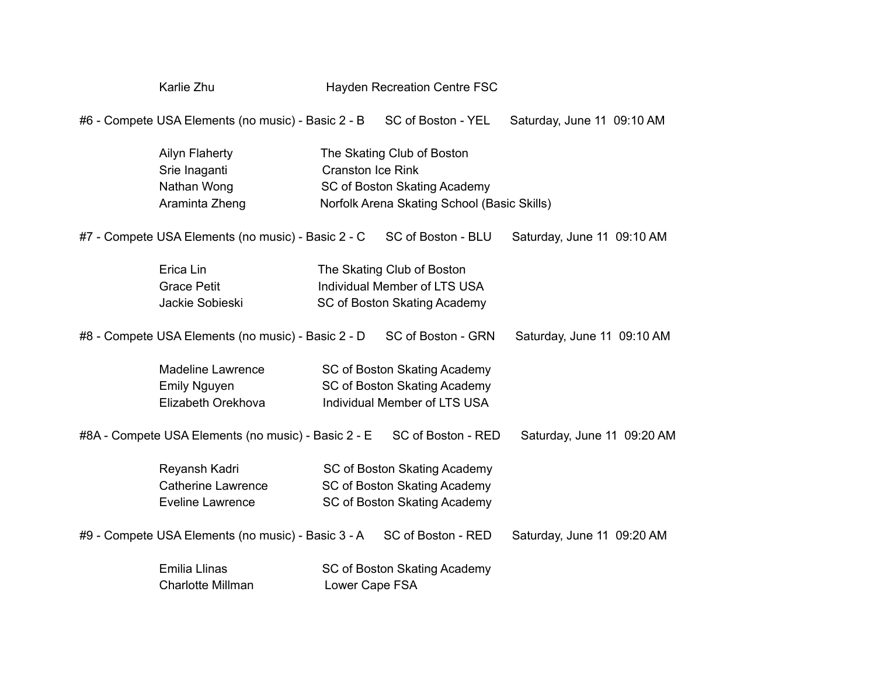## Karlie Zhu **Hayden Recreation Centre FSC**

#6 - Compete USA Elements (no music) - Basic 2 - B SC of Boston - YEL Saturday, June 11 09:10 AM

| Ailyn Flaherty | The Skating Club of Boston                  |
|----------------|---------------------------------------------|
| Srie Inaganti  | Cranston Ice Rink                           |
| Nathan Wong    | SC of Boston Skating Academy                |
| Araminta Zheng | Norfolk Arena Skating School (Basic Skills) |

#7 - Compete USA Elements (no music) - Basic 2 - C SC of Boston - BLU Saturday, June 11 09:10 AM

| Erica Lin       | The Skating Club of Boston   |
|-----------------|------------------------------|
| Grace Petit     | Individual Member of LTS USA |
| Jackie Sobieski | SC of Boston Skating Academy |

#8 - Compete USA Elements (no music) - Basic 2 - D SC of Boston - GRN Saturday, June 11 09:10 AM

| Madeline Lawrence  | SC of Boston Skating Academy |
|--------------------|------------------------------|
| Emily Nguyen       | SC of Boston Skating Academy |
| Elizabeth Orekhova | Individual Member of LTS USA |

#8A - Compete USA Elements (no music) - Basic 2 - E SC of Boston - RED Saturday, June 11 09:20 AM

| Reyansh Kadri      | SC of Boston Skating Academy |
|--------------------|------------------------------|
| Catherine Lawrence | SC of Boston Skating Academy |
| Eveline Lawrence   | SC of Boston Skating Academy |

#9 - Compete USA Elements (no music) - Basic 3 - A SC of Boston - RED Saturday, June 11 09:20 AM

| Emilia Llinas            | SC of Boston Skating Academy |
|--------------------------|------------------------------|
| <b>Charlotte Millman</b> | Lower Cape FSA               |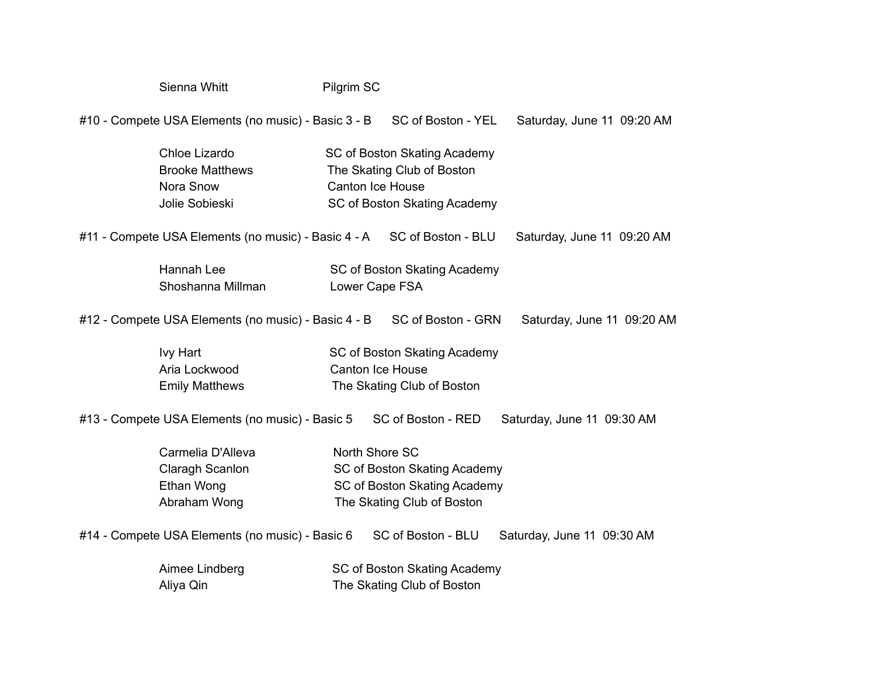| Sienna Whitt                                                           | Pilgrim SC              |                                                                                            |                            |
|------------------------------------------------------------------------|-------------------------|--------------------------------------------------------------------------------------------|----------------------------|
| #10 - Compete USA Elements (no music) - Basic 3 - B                    |                         | SC of Boston - YEL                                                                         | Saturday, June 11 09:20 AM |
| Chloe Lizardo<br><b>Brooke Matthews</b><br>Nora Snow<br>Jolie Sobieski | <b>Canton Ice House</b> | SC of Boston Skating Academy<br>The Skating Club of Boston<br>SC of Boston Skating Academy |                            |
| #11 - Compete USA Elements (no music) - Basic 4 - A                    |                         | SC of Boston - BLU                                                                         | Saturday, June 11 09:20 AM |
| Hannah Lee<br>Shoshanna Millman                                        | Lower Cape FSA          | SC of Boston Skating Academy                                                               |                            |
| #12 - Compete USA Elements (no music) - Basic 4 - B                    |                         | SC of Boston - GRN                                                                         | Saturday, June 11 09:20 AM |
| Ivy Hart<br>Aria Lockwood<br><b>Emily Matthews</b>                     | <b>Canton Ice House</b> | SC of Boston Skating Academy<br>The Skating Club of Boston                                 |                            |
| #13 - Compete USA Elements (no music) - Basic 5                        |                         | SC of Boston - RED                                                                         | Saturday, June 11 09:30 AM |
| Carmelia D'Alleva<br>Claragh Scanlon<br>Ethan Wong<br>Abraham Wong     | North Shore SC          | SC of Boston Skating Academy<br>SC of Boston Skating Academy<br>The Skating Club of Boston |                            |
| #14 - Compete USA Elements (no music) - Basic 6                        |                         | SC of Boston - BLU                                                                         | Saturday, June 11 09:30 AM |
| Aimee Lindberg<br>Aliya Qin                                            |                         | SC of Boston Skating Academy<br>The Skating Club of Boston                                 |                            |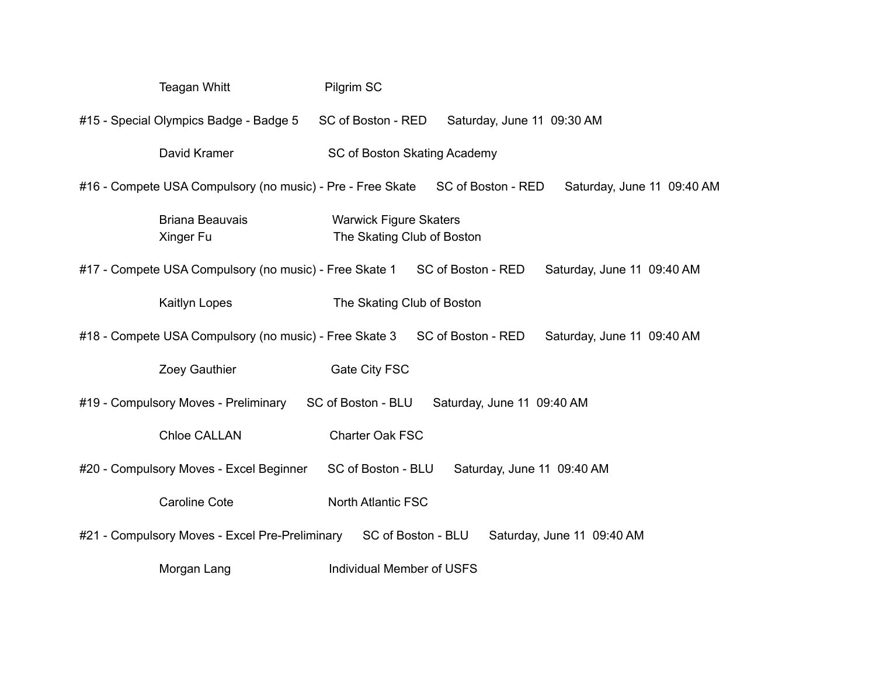| <b>Teagan Whitt</b>                                                                                     | Pilgrim SC                                                  |  |
|---------------------------------------------------------------------------------------------------------|-------------------------------------------------------------|--|
| #15 - Special Olympics Badge - Badge 5                                                                  | SC of Boston - RED<br>Saturday, June 11 09:30 AM            |  |
| David Kramer                                                                                            | SC of Boston Skating Academy                                |  |
| #16 - Compete USA Compulsory (no music) - Pre - Free Skate                                              | SC of Boston - RED<br>Saturday, June 11 09:40 AM            |  |
| <b>Briana Beauvais</b><br>Xinger Fu                                                                     | <b>Warwick Figure Skaters</b><br>The Skating Club of Boston |  |
| #17 - Compete USA Compulsory (no music) - Free Skate 1 SC of Boston - RED                               | Saturday, June 11 09:40 AM                                  |  |
| Kaitlyn Lopes                                                                                           | The Skating Club of Boston                                  |  |
| #18 - Compete USA Compulsory (no music) - Free Skate 3 SC of Boston - RED<br>Saturday, June 11 09:40 AM |                                                             |  |
| Zoey Gauthier                                                                                           | Gate City FSC                                               |  |
| SC of Boston - BLU<br>#19 - Compulsory Moves - Preliminary<br>Saturday, June 11 09:40 AM                |                                                             |  |
| <b>Chloe CALLAN</b>                                                                                     | <b>Charter Oak FSC</b>                                      |  |
| #20 - Compulsory Moves - Excel Beginner                                                                 | SC of Boston - BLU<br>Saturday, June 11 09:40 AM            |  |
| <b>Caroline Cote</b>                                                                                    | <b>North Atlantic FSC</b>                                   |  |
| #21 - Compulsory Moves - Excel Pre-Preliminary SC of Boston - BLU                                       | Saturday, June 11 09:40 AM                                  |  |
| Morgan Lang                                                                                             | <b>Individual Member of USFS</b>                            |  |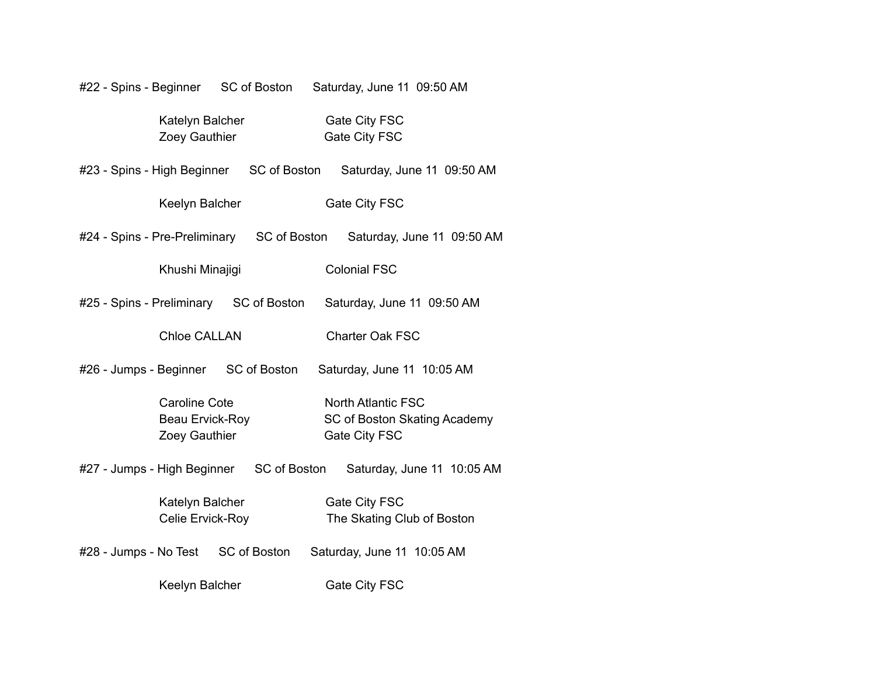| #22 - Spins - Beginner SC of Boston                      |              | Saturday, June 11 09:50 AM                                                 |                            |
|----------------------------------------------------------|--------------|----------------------------------------------------------------------------|----------------------------|
| Katelyn Balcher<br>Zoey Gauthier                         |              | Gate City FSC<br>Gate City FSC                                             |                            |
| #23 - Spins - High Beginner SC of Boston                 |              | Saturday, June 11 09:50 AM                                                 |                            |
| Keelyn Balcher                                           |              | Gate City FSC                                                              |                            |
| #24 - Spins - Pre-Preliminary SC of Boston               |              |                                                                            | Saturday, June 11 09:50 AM |
| Khushi Minajigi                                          |              | <b>Colonial FSC</b>                                                        |                            |
| #25 - Spins - Preliminary SC of Boston                   |              | Saturday, June 11 09:50 AM                                                 |                            |
| <b>Chloe CALLAN</b>                                      |              | Charter Oak FSC                                                            |                            |
| #26 - Jumps - Beginner SC of Boston                      |              | Saturday, June 11 10:05 AM                                                 |                            |
| <b>Caroline Cote</b><br>Beau Ervick-Roy<br>Zoey Gauthier |              | <b>North Atlantic FSC</b><br>SC of Boston Skating Academy<br>Gate City FSC |                            |
| #27 - Jumps - High Beginner SC of Boston                 |              |                                                                            | Saturday, June 11 10:05 AM |
| Katelyn Balcher<br>Celie Ervick-Roy                      |              | Gate City FSC<br>The Skating Club of Boston                                |                            |
| #28 - Jumps - No Test                                    | SC of Boston | Saturday, June 11 10:05 AM                                                 |                            |
| Keelyn Balcher                                           |              | Gate City FSC                                                              |                            |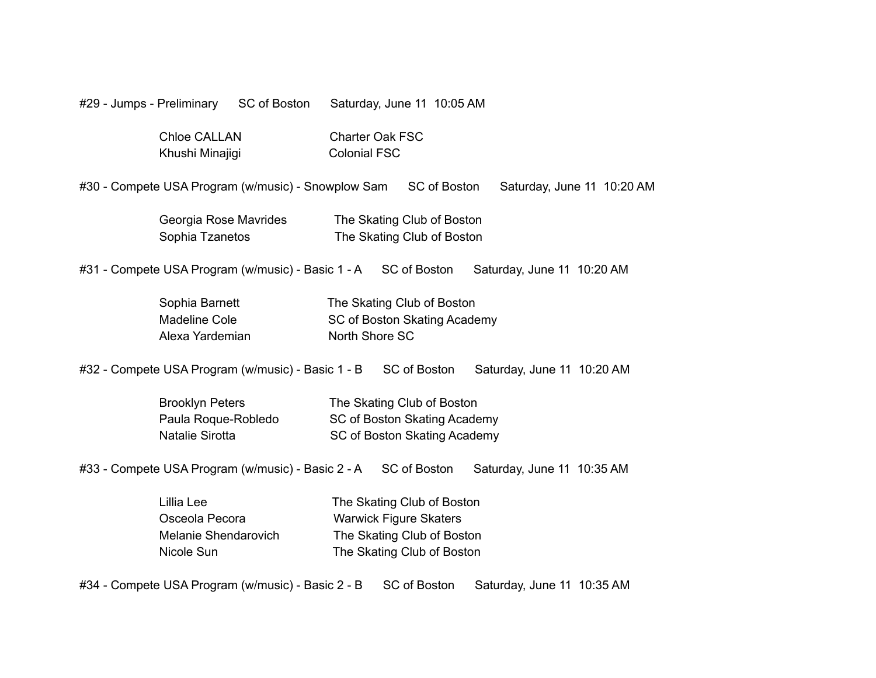#29 - Jumps - Preliminary SC of Boston Saturday, June 11 10:05 AM

| Chloe CALLAN    | <b>Charter Oak FSC</b> |  |  |
|-----------------|------------------------|--|--|
| Khushi Minajigi | <b>Colonial FSC</b>    |  |  |

#30 - Compete USA Program (w/music) - Snowplow Sam SC of Boston Saturday, June 11 10:20 AM

| Georgia Rose Mavrides | The Skating Club of Boston |
|-----------------------|----------------------------|
| Sophia Tzanetos       | The Skating Club of Boston |

#31 - Compete USA Program (w/music) - Basic 1 - A SC of Boston Saturday, June 11 10:20 AM

| Sophia Barnett  | The Skating Club of Boston   |
|-----------------|------------------------------|
| Madeline Cole   | SC of Boston Skating Academy |
| Alexa Yardemian | North Shore SC               |

#32 - Compete USA Program (w/music) - Basic 1 - B SC of Boston Saturday, June 11 10:20 AM

| <b>Brooklyn Peters</b> | The Skating Club of Boston   |
|------------------------|------------------------------|
| Paula Roque-Robledo    | SC of Boston Skating Academy |
| Natalie Sirotta        | SC of Boston Skating Academy |

#33 - Compete USA Program (w/music) - Basic 2 - A SC of Boston Saturday, June 11 10:35 AM

| Lillia Lee           | The Skating Club of Boston    |
|----------------------|-------------------------------|
| Osceola Pecora       | <b>Warwick Figure Skaters</b> |
| Melanie Shendarovich | The Skating Club of Boston    |
| Nicole Sun           | The Skating Club of Boston    |

#34 - Compete USA Program (w/music) - Basic 2 - B SC of Boston Saturday, June 11 10:35 AM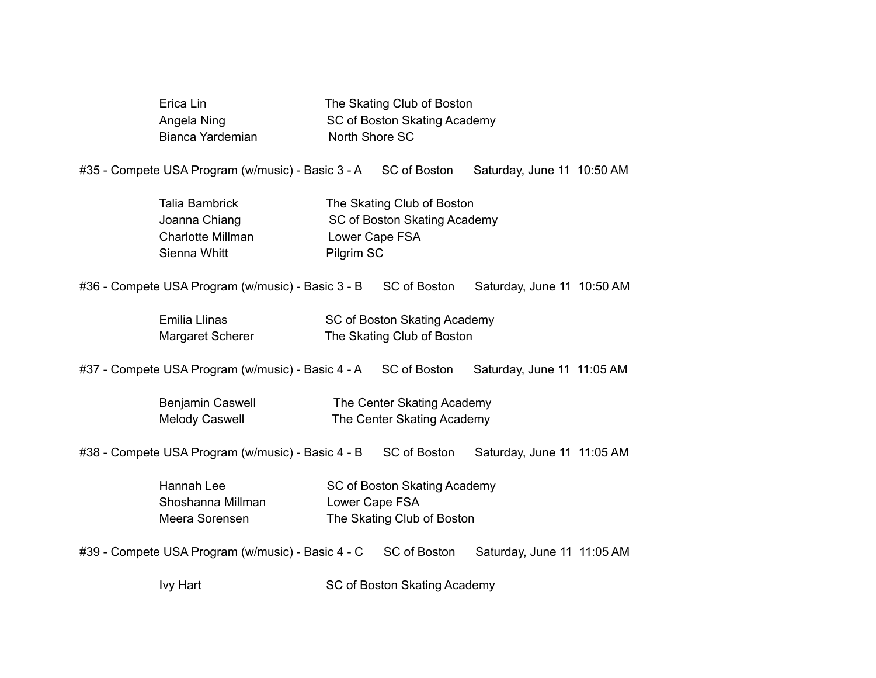| Erica Lin        | The Skating Club of Boston   |
|------------------|------------------------------|
| Angela Ning      | SC of Boston Skating Academy |
| Bianca Yardemian | North Shore SC               |

#35 - Compete USA Program (w/music) - Basic 3 - A SC of Boston Saturday, June 11 10:50 AM

| Talia Bambrick    | The Skating Club of Boston   |
|-------------------|------------------------------|
| Joanna Chiang     | SC of Boston Skating Academy |
| Charlotte Millman | Lower Cape FSA               |
| Sienna Whitt      | Pilgrim SC                   |

#36 - Compete USA Program (w/music) - Basic 3 - B SC of Boston Saturday, June 11 10:50 AM

| Emilia Llinas    | SC of Boston Skating Academy |
|------------------|------------------------------|
| Margaret Scherer | The Skating Club of Boston   |

#37 - Compete USA Program (w/music) - Basic 4 - A SC of Boston Saturday, June 11 11:05 AM

| Benjamin Caswell      | The Center Skating Academy |
|-----------------------|----------------------------|
| <b>Melody Caswell</b> | The Center Skating Academy |

#38 - Compete USA Program (w/music) - Basic 4 - B SC of Boston Saturday, June 11 11:05 AM

| Hannah Lee        | SC of Boston Skating Academy |
|-------------------|------------------------------|
| Shoshanna Millman | Lower Cape FSA               |
| Meera Sorensen    | The Skating Club of Boston   |

#39 - Compete USA Program (w/music) - Basic 4 - C SC of Boston Saturday, June 11 11:05 AM

Ivy Hart **IVI SC of Boston Skating Academy**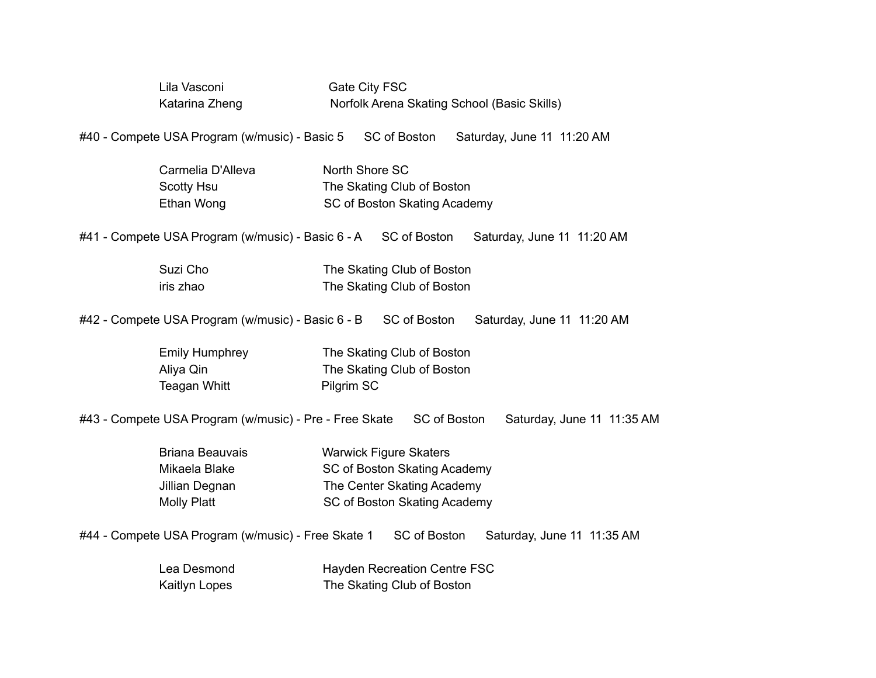| Lila Vasconi<br>Katarina Zheng                                                  |                | Gate City FSC<br>Norfolk Arena Skating School (Basic Skills)                                                                |              |                            |  |  |
|---------------------------------------------------------------------------------|----------------|-----------------------------------------------------------------------------------------------------------------------------|--------------|----------------------------|--|--|
| #40 - Compete USA Program (w/music) - Basic 5                                   |                | SC of Boston                                                                                                                |              | Saturday, June 11 11:20 AM |  |  |
| Carmelia D'Alleva<br>Scotty Hsu<br>Ethan Wong                                   | North Shore SC | The Skating Club of Boston<br>SC of Boston Skating Academy                                                                  |              |                            |  |  |
| #41 - Compete USA Program (w/music) - Basic 6 - A SC of Boston                  |                |                                                                                                                             |              | Saturday, June 11 11:20 AM |  |  |
| Suzi Cho<br>iris zhao                                                           |                | The Skating Club of Boston<br>The Skating Club of Boston                                                                    |              |                            |  |  |
| #42 - Compete USA Program (w/music) - Basic 6 - B SC of Boston                  |                |                                                                                                                             |              | Saturday, June 11 11:20 AM |  |  |
| <b>Emily Humphrey</b><br>Aliya Qin<br>Teagan Whitt                              | Pilgrim SC     | The Skating Club of Boston<br>The Skating Club of Boston                                                                    |              |                            |  |  |
| #43 - Compete USA Program (w/music) - Pre - Free Skate                          |                |                                                                                                                             | SC of Boston | Saturday, June 11 11:35 AM |  |  |
| <b>Briana Beauvais</b><br>Mikaela Blake<br>Jillian Degnan<br><b>Molly Platt</b> |                | <b>Warwick Figure Skaters</b><br>SC of Boston Skating Academy<br>The Center Skating Academy<br>SC of Boston Skating Academy |              |                            |  |  |
| #44 - Compete USA Program (w/music) - Free Skate 1                              |                | SC of Boston                                                                                                                |              | Saturday, June 11 11:35 AM |  |  |

| Lea Desmond   | Hayden Recreation Centre FSC |
|---------------|------------------------------|
| Kaitlyn Lopes | The Skating Club of Boston   |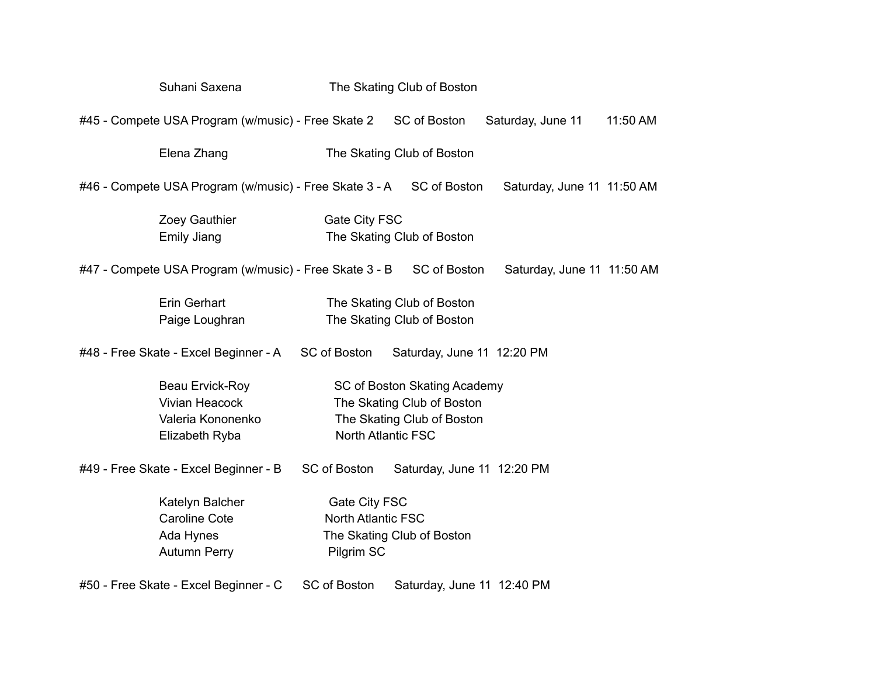|                                                                                    | Suhani Saxena                                                            | The Skating Club of Boston                               |                                                                                                                       |                            |          |  |  |
|------------------------------------------------------------------------------------|--------------------------------------------------------------------------|----------------------------------------------------------|-----------------------------------------------------------------------------------------------------------------------|----------------------------|----------|--|--|
|                                                                                    | #45 - Compete USA Program (w/music) - Free Skate 2                       |                                                          | SC of Boston                                                                                                          | Saturday, June 11          | 11:50 AM |  |  |
|                                                                                    | Elena Zhang                                                              | The Skating Club of Boston                               |                                                                                                                       |                            |          |  |  |
|                                                                                    | #46 - Compete USA Program (w/music) - Free Skate 3 - A SC of Boston      |                                                          |                                                                                                                       | Saturday, June 11 11:50 AM |          |  |  |
| Zoey Gauthier<br>Gate City FSC<br><b>Emily Jiang</b><br>The Skating Club of Boston |                                                                          |                                                          |                                                                                                                       |                            |          |  |  |
|                                                                                    | #47 - Compete USA Program (w/music) - Free Skate 3 - B                   |                                                          | SC of Boston                                                                                                          | Saturday, June 11 11:50 AM |          |  |  |
|                                                                                    | Erin Gerhart<br>Paige Loughran                                           |                                                          | The Skating Club of Boston<br>The Skating Club of Boston                                                              |                            |          |  |  |
|                                                                                    | #48 - Free Skate - Excel Beginner - A                                    | SC of Boston                                             | Saturday, June 11 12:20 PM                                                                                            |                            |          |  |  |
|                                                                                    | Beau Ervick-Roy<br>Vivian Heacock<br>Valeria Kononenko<br>Elizabeth Ryba |                                                          | SC of Boston Skating Academy<br>The Skating Club of Boston<br>The Skating Club of Boston<br><b>North Atlantic FSC</b> |                            |          |  |  |
|                                                                                    | #49 - Free Skate - Excel Beginner - B                                    | SC of Boston                                             | Saturday, June 11 12:20 PM                                                                                            |                            |          |  |  |
|                                                                                    | Katelyn Balcher<br>Caroline Cote<br>Ada Hynes<br>Autumn Perry            | Gate City FSC<br><b>North Atlantic FSC</b><br>Pilgrim SC | The Skating Club of Boston                                                                                            |                            |          |  |  |
|                                                                                    | #50 - Free Skate - Excel Beginner - C                                    | SC of Boston                                             | Saturday, June 11 12:40 PM                                                                                            |                            |          |  |  |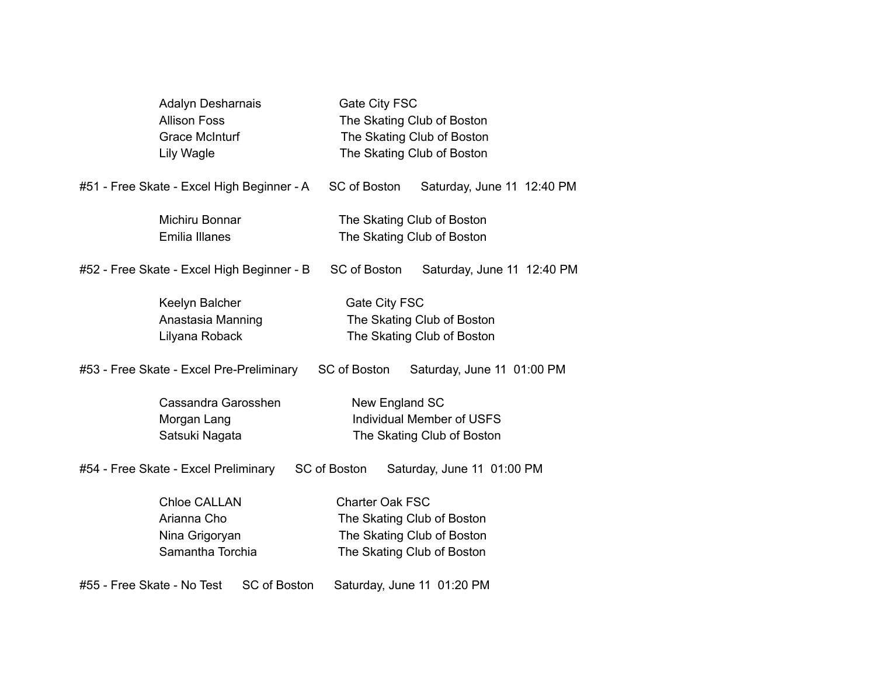| <b>Adalyn Desharnais</b>                          | Gate City FSC                                     |  |  |
|---------------------------------------------------|---------------------------------------------------|--|--|
| <b>Allison Foss</b>                               | The Skating Club of Boston                        |  |  |
| <b>Grace McInturf</b>                             | The Skating Club of Boston                        |  |  |
| Lily Wagle                                        | The Skating Club of Boston                        |  |  |
| #51 - Free Skate - Excel High Beginner - A        | <b>SC of Boston</b><br>Saturday, June 11 12:40 PM |  |  |
| Michiru Bonnar                                    | The Skating Club of Boston                        |  |  |
| Emilia Illanes                                    | The Skating Club of Boston                        |  |  |
| #52 - Free Skate - Excel High Beginner - B        | SC of Boston<br>Saturday, June 11 12:40 PM        |  |  |
| Keelyn Balcher                                    | Gate City FSC                                     |  |  |
| Anastasia Manning                                 | The Skating Club of Boston                        |  |  |
| Lilyana Roback                                    | The Skating Club of Boston                        |  |  |
| #53 - Free Skate - Excel Pre-Preliminary          | SC of Boston<br>Saturday, June 11 01:00 PM        |  |  |
| Cassandra Garosshen                               | New England SC                                    |  |  |
| Morgan Lang                                       | Individual Member of USFS                         |  |  |
| Satsuki Nagata                                    | The Skating Club of Boston                        |  |  |
| #54 - Free Skate - Excel Preliminary              | SC of Boston<br>Saturday, June 11 01:00 PM        |  |  |
| <b>Chloe CALLAN</b>                               | Charter Oak FSC                                   |  |  |
| Arianna Cho                                       | The Skating Club of Boston                        |  |  |
| Nina Grigoryan                                    | The Skating Club of Boston                        |  |  |
| Samantha Torchia                                  | The Skating Club of Boston                        |  |  |
| <b>SC of Boston</b><br>#55 - Free Skate - No Test | Saturday, June 11 01:20 PM                        |  |  |